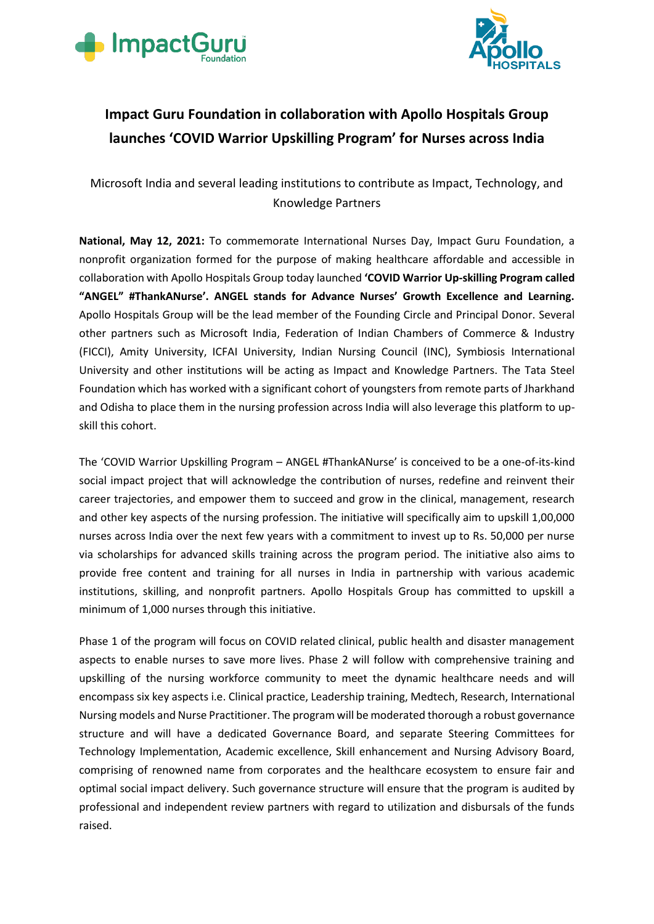



## **Impact Guru Foundation in collaboration with Apollo Hospitals Group launches 'COVID Warrior Upskilling Program' for Nurses across India**

Microsoft India and several leading institutions to contribute as Impact, Technology, and Knowledge Partners

**National, May 12, 2021:** To commemorate International Nurses Day, Impact Guru Foundation, a nonprofit organization formed for the purpose of making healthcare affordable and accessible in collaboration with Apollo Hospitals Group today launched **'COVID Warrior Up-skilling Program called "ANGEL" #ThankANurse'. ANGEL stands for Advance Nurses' Growth Excellence and Learning.**  Apollo Hospitals Group will be the lead member of the Founding Circle and Principal Donor. Several other partners such as Microsoft India, Federation of Indian Chambers of Commerce & Industry (FICCI), Amity University, ICFAI University, Indian Nursing Council (INC), Symbiosis International University and other institutions will be acting as Impact and Knowledge Partners. The Tata Steel Foundation which has worked with a significant cohort of youngsters from remote parts of Jharkhand and Odisha to place them in the nursing profession across India will also leverage this platform to upskill this cohort.

The 'COVID Warrior Upskilling Program – ANGEL #ThankANurse' is conceived to be a one-of-its-kind social impact project that will acknowledge the contribution of nurses, redefine and reinvent their career trajectories, and empower them to succeed and grow in the clinical, management, research and other key aspects of the nursing profession. The initiative will specifically aim to upskill 1,00,000 nurses across India over the next few years with a commitment to invest up to Rs. 50,000 per nurse via scholarships for advanced skills training across the program period. The initiative also aims to provide free content and training for all nurses in India in partnership with various academic institutions, skilling, and nonprofit partners. Apollo Hospitals Group has committed to upskill a minimum of 1,000 nurses through this initiative.

Phase 1 of the program will focus on COVID related clinical, public health and disaster management aspects to enable nurses to save more lives. Phase 2 will follow with comprehensive training and upskilling of the nursing workforce community to meet the dynamic healthcare needs and will encompass six key aspects i.e. Clinical practice, Leadership training, Medtech, Research, International Nursing models and Nurse Practitioner. The program will be moderated thorough a robust governance structure and will have a dedicated Governance Board, and separate Steering Committees for Technology Implementation, Academic excellence, Skill enhancement and Nursing Advisory Board, comprising of renowned name from corporates and the healthcare ecosystem to ensure fair and optimal social impact delivery. Such governance structure will ensure that the program is audited by professional and independent review partners with regard to utilization and disbursals of the funds raised.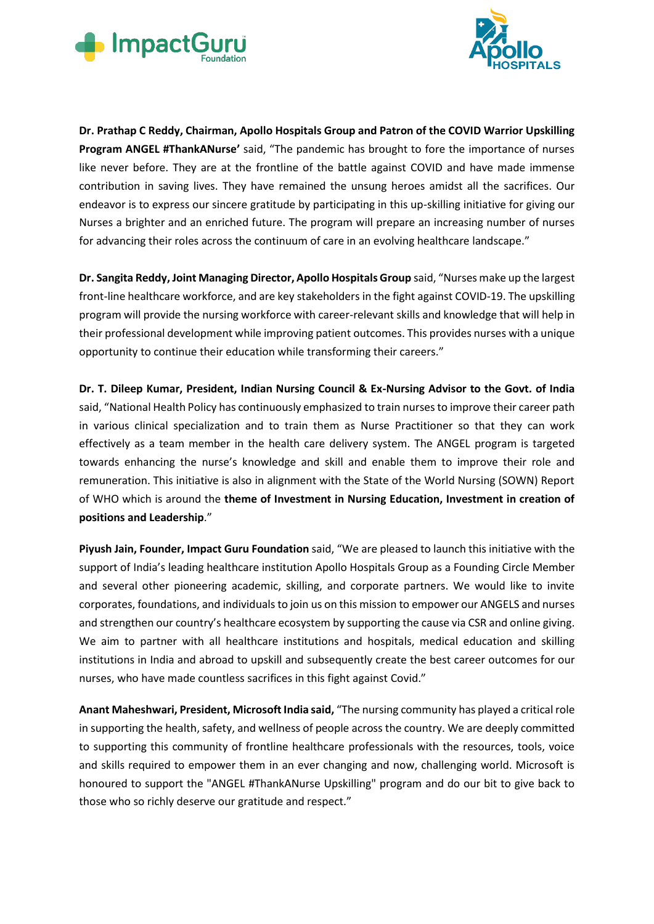



**Dr. Prathap C Reddy, Chairman, Apollo Hospitals Group and Patron of the COVID Warrior Upskilling Program ANGEL #ThankANurse'** said, "The pandemic has brought to fore the importance of nurses like never before. They are at the frontline of the battle against COVID and have made immense contribution in saving lives. They have remained the unsung heroes amidst all the sacrifices. Our endeavor is to express our sincere gratitude by participating in this up-skilling initiative for giving our Nurses a brighter and an enriched future. The program will prepare an increasing number of nurses for advancing their roles across the continuum of care in an evolving healthcare landscape."

**Dr. Sangita Reddy, Joint Managing Director, Apollo Hospitals Group** said, "Nurses make up the largest front-line healthcare workforce, and are key stakeholders in the fight against COVID-19. The upskilling program will provide the nursing workforce with career-relevant skills and knowledge that will help in their professional development while improving patient outcomes. This provides nurses with a unique opportunity to continue their education while transforming their careers."

**Dr. T. Dileep Kumar, President, Indian Nursing Council & Ex-Nursing Advisor to the Govt. of India**  said, "National Health Policy has continuously emphasized to train nurses to improve their career path in various clinical specialization and to train them as Nurse Practitioner so that they can work effectively as a team member in the health care delivery system. The ANGEL program is targeted towards enhancing the nurse's knowledge and skill and enable them to improve their role and remuneration. This initiative is also in alignment with the State of the World Nursing (SOWN) Report of WHO which is around the **theme of Investment in Nursing Education, Investment in creation of positions and Leadership**."

**Piyush Jain, Founder, Impact Guru Foundation** said, "We are pleased to launch this initiative with the support of India's leading healthcare institution Apollo Hospitals Group as a Founding Circle Member and several other pioneering academic, skilling, and corporate partners. We would like to invite corporates, foundations, and individuals to join us on this mission to empower our ANGELS and nurses and strengthen our country's healthcare ecosystem by supporting the cause via CSR and online giving. We aim to partner with all healthcare institutions and hospitals, medical education and skilling institutions in India and abroad to upskill and subsequently create the best career outcomes for our nurses, who have made countless sacrifices in this fight against Covid."

**Anant Maheshwari, President, Microsoft India said,** "The nursing community has played a critical role in supporting the health, safety, and wellness of people across the country. We are deeply committed to supporting this community of frontline healthcare professionals with the resources, tools, voice and skills required to empower them in an ever changing and now, challenging world. Microsoft is honoured to support the "ANGEL #ThankANurse Upskilling" program and do our bit to give back to those who so richly deserve our gratitude and respect."